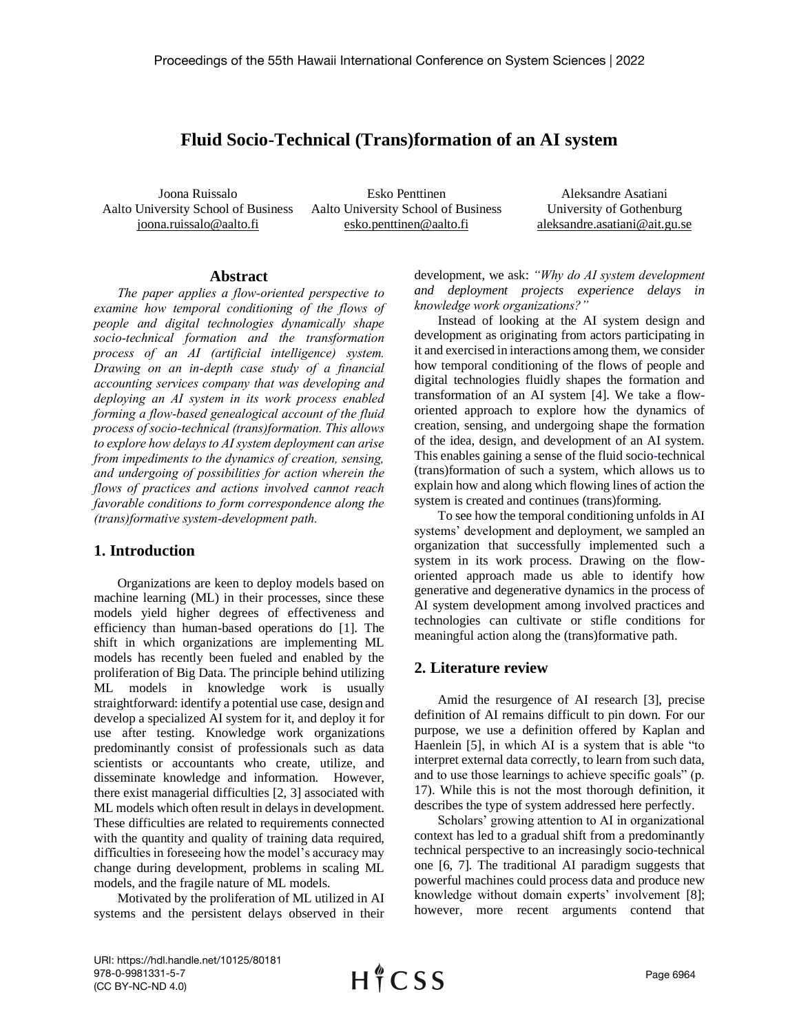# **Fluid Socio-Technical (Trans)formation of an AI system**

Joona Ruissalo Aalto University School of Business joona.ruissalo@aalto.fi

Esko Penttinen Aalto University School of Business esko.penttinen@aalto.fi

Aleksandre Asatiani University of Gothenburg aleksandre.asatiani@ait.gu.se

#### **Abstract**

*The paper applies a flow-oriented perspective to examine how temporal conditioning of the flows of people and digital technologies dynamically shape socio-technical formation and the transformation process of an AI (artificial intelligence) system. Drawing on an in-depth case study of a financial accounting services company that was developing and deploying an AI system in its work process enabled forming a flow-based genealogical account of the fluid process of socio-technical (trans)formation. This allows to explore how delays to AI system deployment can arise from impediments to the dynamics of creation, sensing, and undergoing of possibilities for action wherein the flows of practices and actions involved cannot reach favorable conditions to form correspondence along the (trans)formative system-development path.*

## **1. Introduction**

Organizations are keen to deploy models based on machine learning (ML) in their processes, since these models yield higher degrees of effectiveness and efficiency than human-based operations do [1]. The shift in which organizations are implementing ML models has recently been fueled and enabled by the proliferation of Big Data. The principle behind utilizing ML models in knowledge work is usually straightforward: identify a potential use case, design and develop a specialized AI system for it, and deploy it for use after testing. Knowledge work organizations predominantly consist of professionals such as data scientists or accountants who create, utilize, and disseminate knowledge and information. However, there exist managerial difficulties [2, 3] associated with ML models which often result in delays in development. These difficulties are related to requirements connected with the quantity and quality of training data required, difficulties in foreseeing how the model's accuracy may change during development, problems in scaling ML models, and the fragile nature of ML models.

Motivated by the proliferation of ML utilized in AI systems and the persistent delays observed in their development, we ask: *"Why do AI system development and deployment projects experience delays in knowledge work organizations?"*

Instead of looking at the AI system design and development as originating from actors participating in it and exercised in interactions among them, we consider how temporal conditioning of the flows of people and digital technologies fluidly shapes the formation and transformation of an AI system [4]. We take a floworiented approach to explore how the dynamics of creation, sensing, and undergoing shape the formation of the idea, design, and development of an AI system. This enables gaining a sense of the fluid soci[o-t](https://medium.com/@l2k/why-are-machine-learning-projects-so-hard-to-manage-8e9b9cf49641)echnical (trans)formation of such a system, which allows us to explain how and along which flowing lines of action the system is created and continues (trans)forming.

To see how the temporal conditioning unfolds in AI systems' development and deployment, we sampled an organization that successfully implemented such a system in its work process. Drawing on the floworiented approach made us able to identify how generative and degenerative dynamics in the process of AI system development among involved practices and technologies can cultivate or stifle conditions for meaningful action along the (trans)formative path.

#### **2. Literature review**

Amid the resurgence of AI research [3], precise definition of AI remains difficult to pin down. For our purpose, we use a definition offered by Kaplan and Haenlein [5], in which AI is a system that is able "to interpret external data correctly, to learn from such data, and to use those learnings to achieve specific goals" (p. 17). While this is not the most thorough definition, it describes the type of system addressed here perfectly.

Scholars' growing attention to AI in organizational context has led to a gradual shift from a predominantly technical perspective to an increasingly socio-technical one [6, 7]. The traditional AI paradigm suggests that powerful machines could process data and produce new knowledge without domain experts' involvement [8]; however, more recent arguments contend that

URI: https://hdl.handle.net/10125/80181 978-0-9981331-5-7 (CC BY-NC-ND 4.0)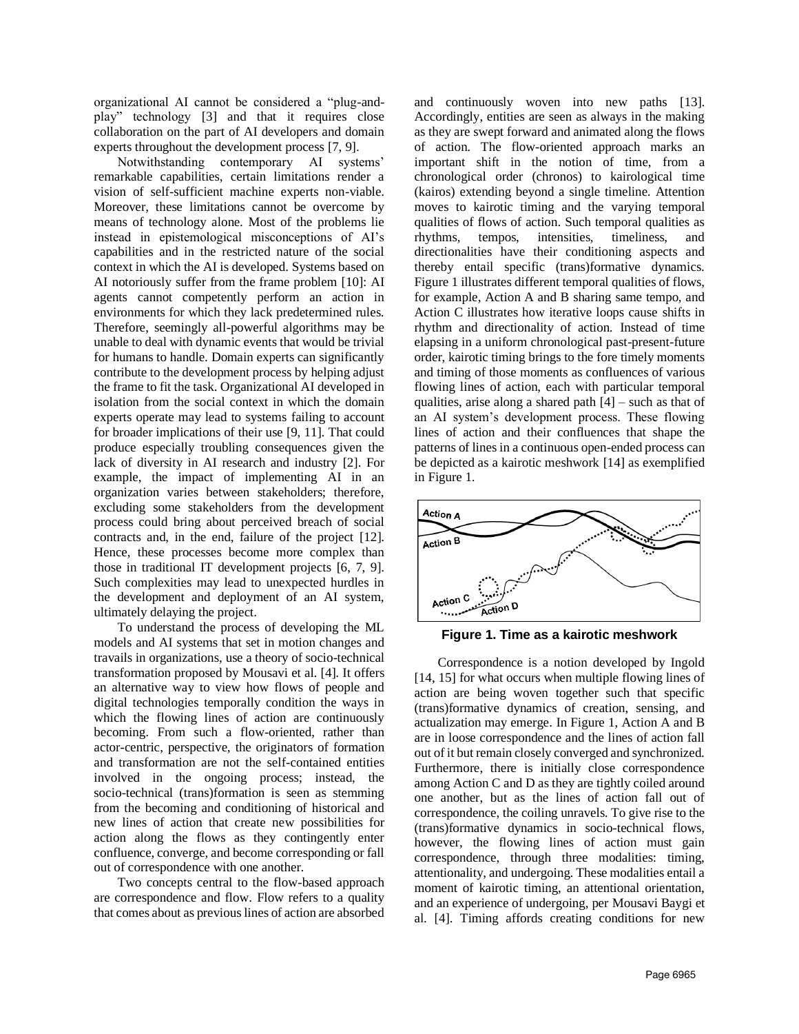organizational AI cannot be considered a "plug-andplay" technology [3] and that it requires close collaboration on the part of AI developers and domain experts throughout the development process [7, 9].

Notwithstanding contemporary AI systems' remarkable capabilities, certain limitations render a vision of self-sufficient machine experts non-viable. Moreover, these limitations cannot be overcome by means of technology alone. Most of the problems lie instead in epistemological misconceptions of AI's capabilities and in the restricted nature of the social context in which the AI is developed. Systems based on AI notoriously suffer from the frame problem [10]: AI agents cannot competently perform an action in environments for which they lack predetermined rules. Therefore, seemingly all-powerful algorithms may be unable to deal with dynamic events that would be trivial for humans to handle. Domain experts can significantly contribute to the development process by helping adjust the frame to fit the task. Organizational AI developed in isolation from the social context in which the domain experts operate may lead to systems failing to account for broader implications of their use [9, 11]. That could produce especially troubling consequences given the lack of diversity in AI research and industry [2]. For example, the impact of implementing AI in an organization varies between stakeholders; therefore, excluding some stakeholders from the development process could bring about perceived breach of social contracts and, in the end, failure of the project [12]. Hence, these processes become more complex than those in traditional IT development projects [6, 7, 9]. Such complexities may lead to unexpected hurdles in the development and deployment of an AI system, ultimately delaying the project.

To understand the process of developing the ML models and AI systems that set in motion changes and travails in organizations, use a theory of socio-technical transformation proposed by Mousavi et al. [4]. It offers an alternative way to view how flows of people and digital technologies temporally condition the ways in which the flowing lines of action are continuously becoming. From such a flow-oriented, rather than actor-centric, perspective, the originators of formation and transformation are not the self-contained entities involved in the ongoing process; instead, the socio-technical (trans)formation is seen as stemming from the becoming and conditioning of historical and new lines of action that create new possibilities for action along the flows as they contingently enter confluence, converge, and become corresponding or fall out of correspondence with one another.

Two concepts central to the flow-based approach are correspondence and flow. Flow refers to a quality that comes about as previous lines of action are absorbed

and continuously woven into new paths [13]. Accordingly, entities are seen as always in the making as they are swept forward and animated along the flows of action. The flow-oriented approach marks an important shift in the notion of time, from a chronological order (chronos) to kairological time (kairos) extending beyond a single timeline. Attention moves to kairotic timing and the varying temporal qualities of flows of action. Such temporal qualities as rhythms, tempos, intensities, timeliness, and directionalities have their conditioning aspects and thereby entail specific (trans)formative dynamics. Figure 1 illustrates different temporal qualities of flows, for example, Action A and B sharing same tempo, and Action C illustrates how iterative loops cause shifts in rhythm and directionality of action. Instead of time elapsing in a uniform chronological past-present-future order, kairotic timing brings to the fore timely moments and timing of those moments as confluences of various flowing lines of action, each with particular temporal qualities, arise along a shared path  $[4]$  – such as that of an AI system's development process. These flowing lines of action and their confluences that shape the patterns of lines in a continuous open-ended process can be depicted as a kairotic meshwork [14] as exemplified in Figure 1.



**Figure 1. Time as a kairotic meshwork**

Correspondence is a notion developed by Ingold [14, 15] for what occurs when multiple flowing lines of action are being woven together such that specific (trans)formative dynamics of creation, sensing, and actualization may emerge. In Figure 1, Action A and B are in loose correspondence and the lines of action fall out of it but remain closely converged and synchronized. Furthermore, there is initially close correspondence among Action C and D as they are tightly coiled around one another, but as the lines of action fall out of correspondence, the coiling unravels. To give rise to the (trans)formative dynamics in socio-technical flows, however, the flowing lines of action must gain correspondence, through three modalities: timing, attentionality, and undergoing. These modalities entail a moment of kairotic timing, an attentional orientation, and an experience of undergoing, per Mousavi Baygi et al. [4]. Timing affords creating conditions for new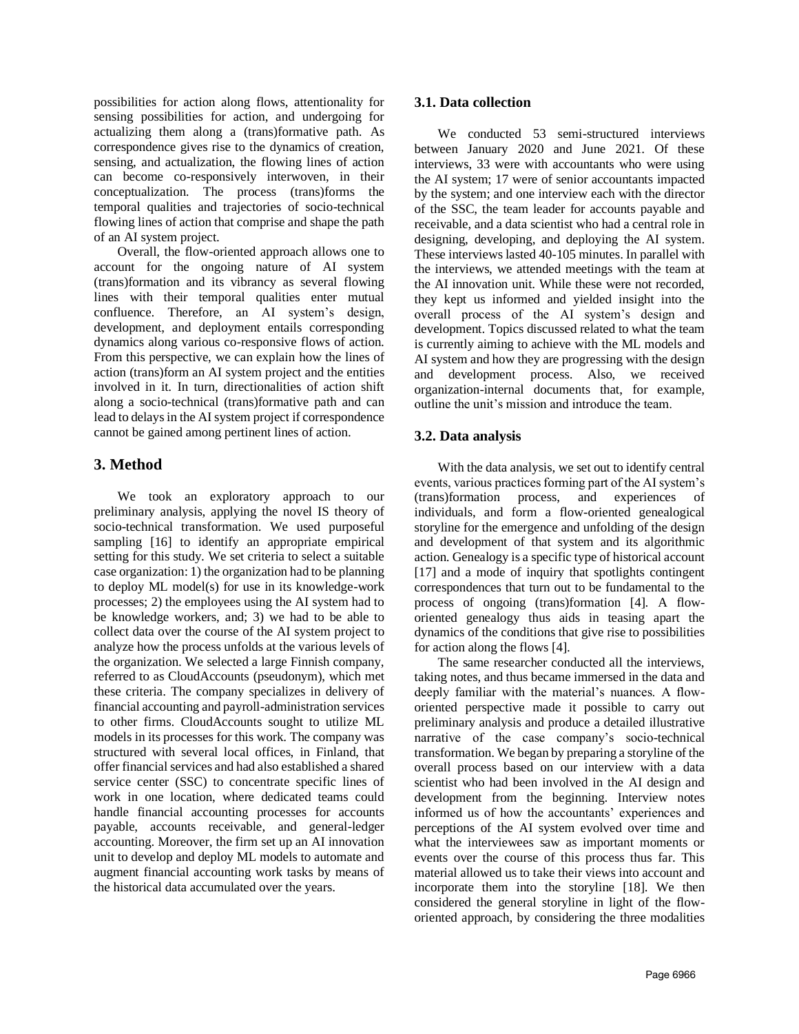possibilities for action along flows, attentionality for sensing possibilities for action, and undergoing for actualizing them along a (trans)formative path. As correspondence gives rise to the dynamics of creation, sensing, and actualization, the flowing lines of action can become co-responsively interwoven, in their conceptualization. The process (trans)forms the temporal qualities and trajectories of socio-technical flowing lines of action that comprise and shape the path of an AI system project.

Overall, the flow-oriented approach allows one to account for the ongoing nature of AI system (trans)formation and its vibrancy as several flowing lines with their temporal qualities enter mutual confluence. Therefore, an AI system's design, development, and deployment entails corresponding dynamics along various co-responsive flows of action. From this perspective, we can explain how the lines of action (trans)form an AI system project and the entities involved in it. In turn, directionalities of action shift along a socio-technical (trans)formative path and can lead to delays in the AI system project if correspondence cannot be gained among pertinent lines of action.

## **3. Method**

We took an exploratory approach to our preliminary analysis, applying the novel IS theory of socio-technical transformation. We used purposeful sampling [16] to identify an appropriate empirical setting for this study. We set criteria to select a suitable case organization: 1) the organization had to be planning to deploy ML model(s) for use in its knowledge-work processes; 2) the employees using the AI system had to be knowledge workers, and; 3) we had to be able to collect data over the course of the AI system project to analyze how the process unfolds at the various levels of the organization. We selected a large Finnish company, referred to as CloudAccounts (pseudonym), which met these criteria. The company specializes in delivery of financial accounting and payroll-administration services to other firms. CloudAccounts sought to utilize ML models in its processes for this work. The company was structured with several local offices, in Finland, that offer financial services and had also established a shared service center (SSC) to concentrate specific lines of work in one location, where dedicated teams could handle financial accounting processes for accounts payable, accounts receivable, and general-ledger accounting. Moreover, the firm set up an AI innovation unit to develop and deploy ML models to automate and augment financial accounting work tasks by means of the historical data accumulated over the years.

### **3.1. Data collection**

We conducted 53 semi-structured interviews between January 2020 and June 2021. Of these interviews, 33 were with accountants who were using the AI system; 17 were of senior accountants impacted by the system; and one interview each with the director of the SSC, the team leader for accounts payable and receivable, and a data scientist who had a central role in designing, developing, and deploying the AI system. These interviews lasted 40-105 minutes. In parallel with the interviews, we attended meetings with the team at the AI innovation unit. While these were not recorded, they kept us informed and yielded insight into the overall process of the AI system's design and development. Topics discussed related to what the team is currently aiming to achieve with the ML models and AI system and how they are progressing with the design and development process. Also, we received organization-internal documents that, for example, outline the unit's mission and introduce the team.

## **3.2. Data analysis**

With the data analysis, we set out to identify central events, various practices forming part of the AI system's (trans)formation process, and experiences of individuals, and form a flow-oriented genealogical storyline for the emergence and unfolding of the design and development of that system and its algorithmic action. Genealogy is a specific type of historical account [17] and a mode of inquiry that spotlights contingent correspondences that turn out to be fundamental to the process of ongoing (trans)formation [4]. A floworiented genealogy thus aids in teasing apart the dynamics of the conditions that give rise to possibilities for action along the flows [4].

The same researcher conducted all the interviews, taking notes, and thus became immersed in the data and deeply familiar with the material's nuances. A floworiented perspective made it possible to carry out preliminary analysis and produce a detailed illustrative narrative of the case company's socio-technical transformation. We began by preparing a storyline of the overall process based on our interview with a data scientist who had been involved in the AI design and development from the beginning. Interview notes informed us of how the accountants' experiences and perceptions of the AI system evolved over time and what the interviewees saw as important moments or events over the course of this process thus far. This material allowed us to take their views into account and incorporate them into the storyline [18]. We then considered the general storyline in light of the floworiented approach, by considering the three modalities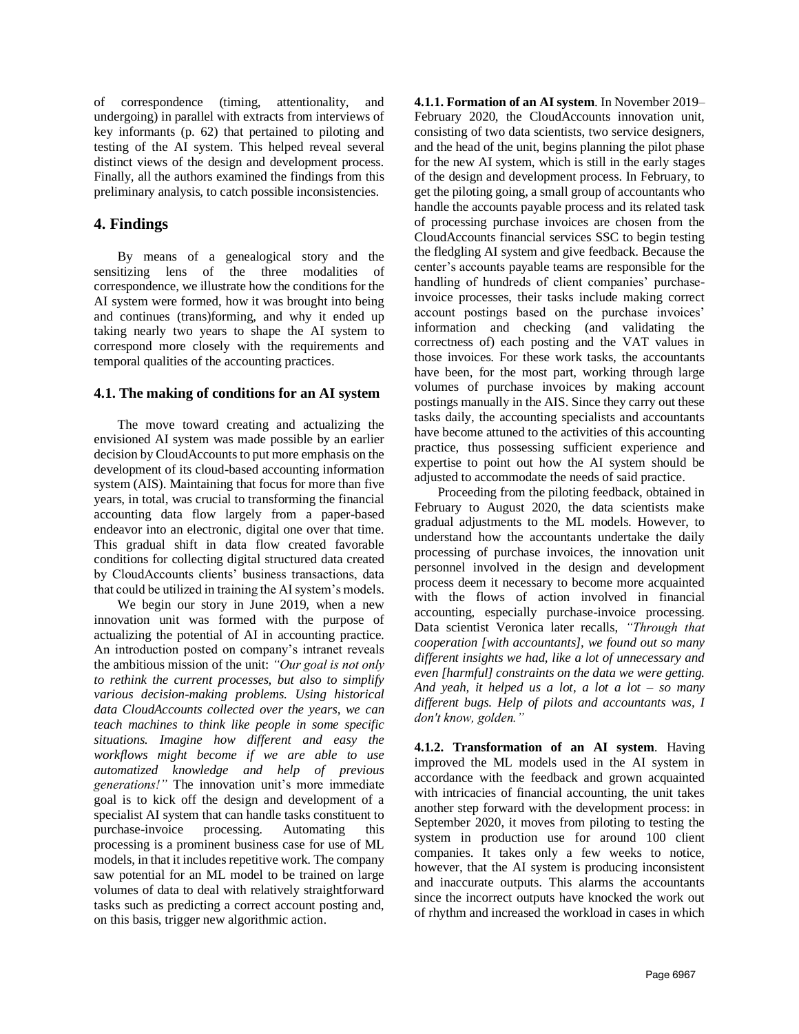of correspondence (timing, attentionality, and undergoing) in parallel with extracts from interviews of key informants (p. 62) that pertained to piloting and testing of the AI system. This helped reveal several distinct views of the design and development process. Finally, all the authors examined the findings from this preliminary analysis, to catch possible inconsistencies.

## **4. Findings**

By means of a genealogical story and the sensitizing lens of the three modalities of correspondence, we illustrate how the conditions for the AI system were formed, how it was brought into being and continues (trans)forming, and why it ended up taking nearly two years to shape the AI system to correspond more closely with the requirements and temporal qualities of the accounting practices.

### **4.1. The making of conditions for an AI system**

The move toward creating and actualizing the envisioned AI system was made possible by an earlier decision by CloudAccounts to put more emphasis on the development of its cloud-based accounting information system (AIS). Maintaining that focus for more than five years, in total, was crucial to transforming the financial accounting data flow largely from a paper-based endeavor into an electronic, digital one over that time. This gradual shift in data flow created favorable conditions for collecting digital structured data created by CloudAccounts clients' business transactions, data that could be utilized in training the AI system's models.

We begin our story in June 2019, when a new innovation unit was formed with the purpose of actualizing the potential of AI in accounting practice. An introduction posted on company's intranet reveals the ambitious mission of the unit: *"Our goal is not only to rethink the current processes, but also to simplify various decision-making problems. Using historical data CloudAccounts collected over the years, we can teach machines to think like people in some specific situations. Imagine how different and easy the workflows might become if we are able to use automatized knowledge and help of previous generations!"* The innovation unit's more immediate goal is to kick off the design and development of a specialist AI system that can handle tasks constituent to purchase-invoice processing. Automating this processing is a prominent business case for use of ML models, in that it includes repetitive work. The company saw potential for an ML model to be trained on large volumes of data to deal with relatively straightforward tasks such as predicting a correct account posting and, on this basis, trigger new algorithmic action.

**4.1.1. Formation of an AI system**. In November 2019– February 2020, the CloudAccounts innovation unit, consisting of two data scientists, two service designers, and the head of the unit, begins planning the pilot phase for the new AI system, which is still in the early stages of the design and development process. In February, to get the piloting going, a small group of accountants who handle the accounts payable process and its related task of processing purchase invoices are chosen from the CloudAccounts financial services SSC to begin testing the fledgling AI system and give feedback. Because the center's accounts payable teams are responsible for the handling of hundreds of client companies' purchaseinvoice processes, their tasks include making correct account postings based on the purchase invoices' information and checking (and validating the correctness of) each posting and the VAT values in those invoices. For these work tasks, the accountants have been, for the most part, working through large volumes of purchase invoices by making account postings manually in the AIS. Since they carry out these tasks daily, the accounting specialists and accountants have become attuned to the activities of this accounting practice, thus possessing sufficient experience and expertise to point out how the AI system should be adjusted to accommodate the needs of said practice.

Proceeding from the piloting feedback, obtained in February to August 2020, the data scientists make gradual adjustments to the ML models. However, to understand how the accountants undertake the daily processing of purchase invoices, the innovation unit personnel involved in the design and development process deem it necessary to become more acquainted with the flows of action involved in financial accounting, especially purchase-invoice processing. Data scientist Veronica later recalls, *"Through that cooperation [with accountants], we found out so many different insights we had, like a lot of unnecessary and even [harmful] constraints on the data we were getting. And yeah, it helped us a lot, a lot a lot – so many different bugs. Help of pilots and accountants was, I don't know, golden."*

**4.1.2. Transformation of an AI system**. Having improved the ML models used in the AI system in accordance with the feedback and grown acquainted with intricacies of financial accounting, the unit takes another step forward with the development process: in September 2020, it moves from piloting to testing the system in production use for around 100 client companies. It takes only a few weeks to notice, however, that the AI system is producing inconsistent and inaccurate outputs. This alarms the accountants since the incorrect outputs have knocked the work out of rhythm and increased the workload in cases in which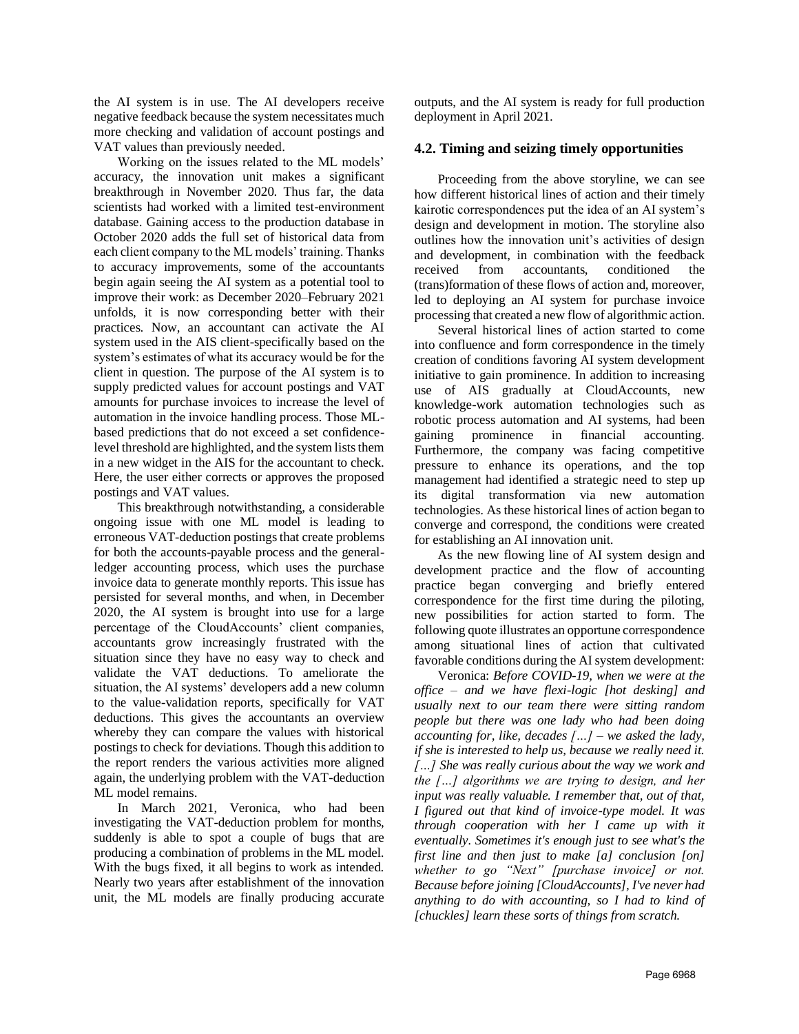the AI system is in use. The AI developers receive negative feedback because the system necessitates much more checking and validation of account postings and VAT values than previously needed.

Working on the issues related to the ML models' accuracy, the innovation unit makes a significant breakthrough in November 2020. Thus far, the data scientists had worked with a limited test-environment database. Gaining access to the production database in October 2020 adds the full set of historical data from each client company to the ML models' training. Thanks to accuracy improvements, some of the accountants begin again seeing the AI system as a potential tool to improve their work: as December 2020–February 2021 unfolds, it is now corresponding better with their practices. Now, an accountant can activate the AI system used in the AIS client-specifically based on the system's estimates of what its accuracy would be for the client in question. The purpose of the AI system is to supply predicted values for account postings and VAT amounts for purchase invoices to increase the level of automation in the invoice handling process. Those MLbased predictions that do not exceed a set confidencelevel threshold are highlighted, and the system lists them in a new widget in the AIS for the accountant to check. Here, the user either corrects or approves the proposed postings and VAT values.

This breakthrough notwithstanding, a considerable ongoing issue with one ML model is leading to erroneous VAT-deduction postings that create problems for both the accounts-payable process and the generalledger accounting process, which uses the purchase invoice data to generate monthly reports. This issue has persisted for several months, and when, in December 2020, the AI system is brought into use for a large percentage of the CloudAccounts' client companies, accountants grow increasingly frustrated with the situation since they have no easy way to check and validate the VAT deductions. To ameliorate the situation, the AI systems' developers add a new column to the value-validation reports, specifically for VAT deductions. This gives the accountants an overview whereby they can compare the values with historical postings to check for deviations. Though this addition to the report renders the various activities more aligned again, the underlying problem with the VAT-deduction ML model remains.

In March 2021, Veronica, who had been investigating the VAT-deduction problem for months, suddenly is able to spot a couple of bugs that are producing a combination of problems in the ML model. With the bugs fixed, it all begins to work as intended. Nearly two years after establishment of the innovation unit, the ML models are finally producing accurate outputs, and the AI system is ready for full production deployment in April 2021.

#### **4.2. Timing and seizing timely opportunities**

Proceeding from the above storyline, we can see how different historical lines of action and their timely kairotic correspondences put the idea of an AI system's design and development in motion. The storyline also outlines how the innovation unit's activities of design and development, in combination with the feedback received from accountants, conditioned the (trans)formation of these flows of action and, moreover, led to deploying an AI system for purchase invoice processing that created a new flow of algorithmic action.

Several historical lines of action started to come into confluence and form correspondence in the timely creation of conditions favoring AI system development initiative to gain prominence. In addition to increasing use of AIS gradually at CloudAccounts, new knowledge-work automation technologies such as robotic process automation and AI systems, had been gaining prominence in financial accounting. Furthermore, the company was facing competitive pressure to enhance its operations, and the top management had identified a strategic need to step up its digital transformation via new automation technologies. As these historical lines of action began to converge and correspond, the conditions were created for establishing an AI innovation unit.

As the new flowing line of AI system design and development practice and the flow of accounting practice began converging and briefly entered correspondence for the first time during the piloting, new possibilities for action started to form. The following quote illustrates an opportune correspondence among situational lines of action that cultivated favorable conditions during the AI system development:

Veronica: *Before COVID-19, when we were at the office – and we have flexi-logic [hot desking] and usually next to our team there were sitting random people but there was one lady who had been doing accounting for, like, decades […] – we asked the lady, if she is interested to help us, because we really need it. […] She was really curious about the way we work and the […] algorithms we are trying to design, and her input was really valuable. I remember that, out of that, I figured out that kind of invoice-type model. It was through cooperation with her I came up with it eventually. Sometimes it's enough just to see what's the first line and then just to make [a] conclusion [on] whether to go "Next" [purchase invoice] or not. Because before joining [CloudAccounts], I've never had anything to do with accounting, so I had to kind of [chuckles] learn these sorts of things from scratch.*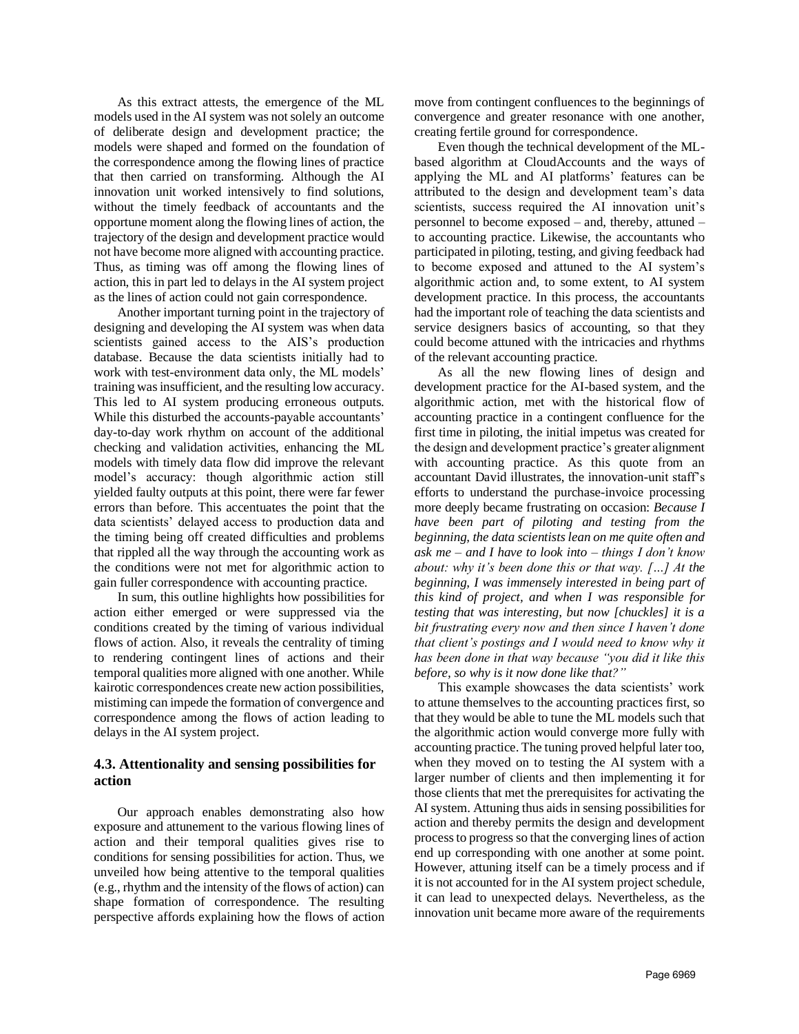As this extract attests, the emergence of the ML models used in the AI system was not solely an outcome of deliberate design and development practice; the models were shaped and formed on the foundation of the correspondence among the flowing lines of practice that then carried on transforming. Although the AI innovation unit worked intensively to find solutions, without the timely feedback of accountants and the opportune moment along the flowing lines of action, the trajectory of the design and development practice would not have become more aligned with accounting practice. Thus, as timing was off among the flowing lines of action, this in part led to delays in the AI system project as the lines of action could not gain correspondence.

Another important turning point in the trajectory of designing and developing the AI system was when data scientists gained access to the AIS's production database. Because the data scientists initially had to work with test-environment data only, the ML models' training was insufficient, and the resulting low accuracy. This led to AI system producing erroneous outputs. While this disturbed the accounts-payable accountants' day-to-day work rhythm on account of the additional checking and validation activities, enhancing the ML models with timely data flow did improve the relevant model's accuracy: though algorithmic action still yielded faulty outputs at this point, there were far fewer errors than before. This accentuates the point that the data scientists' delayed access to production data and the timing being off created difficulties and problems that rippled all the way through the accounting work as the conditions were not met for algorithmic action to gain fuller correspondence with accounting practice.

In sum, this outline highlights how possibilities for action either emerged or were suppressed via the conditions created by the timing of various individual flows of action. Also, it reveals the centrality of timing to rendering contingent lines of actions and their temporal qualities more aligned with one another. While kairotic correspondences create new action possibilities, mistiming can impede the formation of convergence and correspondence among the flows of action leading to delays in the AI system project.

## **4.3. Attentionality and sensing possibilities for action**

Our approach enables demonstrating also how exposure and attunement to the various flowing lines of action and their temporal qualities gives rise to conditions for sensing possibilities for action. Thus, we unveiled how being attentive to the temporal qualities (e.g., rhythm and the intensity of the flows of action) can shape formation of correspondence. The resulting perspective affords explaining how the flows of action move from contingent confluences to the beginnings of convergence and greater resonance with one another, creating fertile ground for correspondence.

Even though the technical development of the MLbased algorithm at CloudAccounts and the ways of applying the ML and AI platforms' features can be attributed to the design and development team's data scientists, success required the AI innovation unit's personnel to become exposed – and, thereby, attuned – to accounting practice. Likewise, the accountants who participated in piloting, testing, and giving feedback had to become exposed and attuned to the AI system's algorithmic action and, to some extent, to AI system development practice. In this process, the accountants had the important role of teaching the data scientists and service designers basics of accounting, so that they could become attuned with the intricacies and rhythms of the relevant accounting practice.

As all the new flowing lines of design and development practice for the AI-based system, and the algorithmic action, met with the historical flow of accounting practice in a contingent confluence for the first time in piloting, the initial impetus was created for the design and development practice's greater alignment with accounting practice. As this quote from an accountant David illustrates, the innovation-unit staff's efforts to understand the purchase-invoice processing more deeply became frustrating on occasion: *Because I have been part of piloting and testing from the beginning, the data scientists lean on me quite often and ask me – and I have to look into – things I don't know about: why it's been done this or that way. […] At the beginning, I was immensely interested in being part of this kind of project, and when I was responsible for testing that was interesting, but now [chuckles] it is a bit frustrating every now and then since I haven't done that client's postings and I would need to know why it has been done in that way because "you did it like this before, so why is it now done like that?"*

This example showcases the data scientists' work to attune themselves to the accounting practices first, so that they would be able to tune the ML models such that the algorithmic action would converge more fully with accounting practice. The tuning proved helpful later too, when they moved on to testing the AI system with a larger number of clients and then implementing it for those clients that met the prerequisites for activating the AI system. Attuning thus aids in sensing possibilities for action and thereby permits the design and development process to progress so that the converging lines of action end up corresponding with one another at some point. However, attuning itself can be a timely process and if it is not accounted for in the AI system project schedule, it can lead to unexpected delays. Nevertheless, as the innovation unit became more aware of the requirements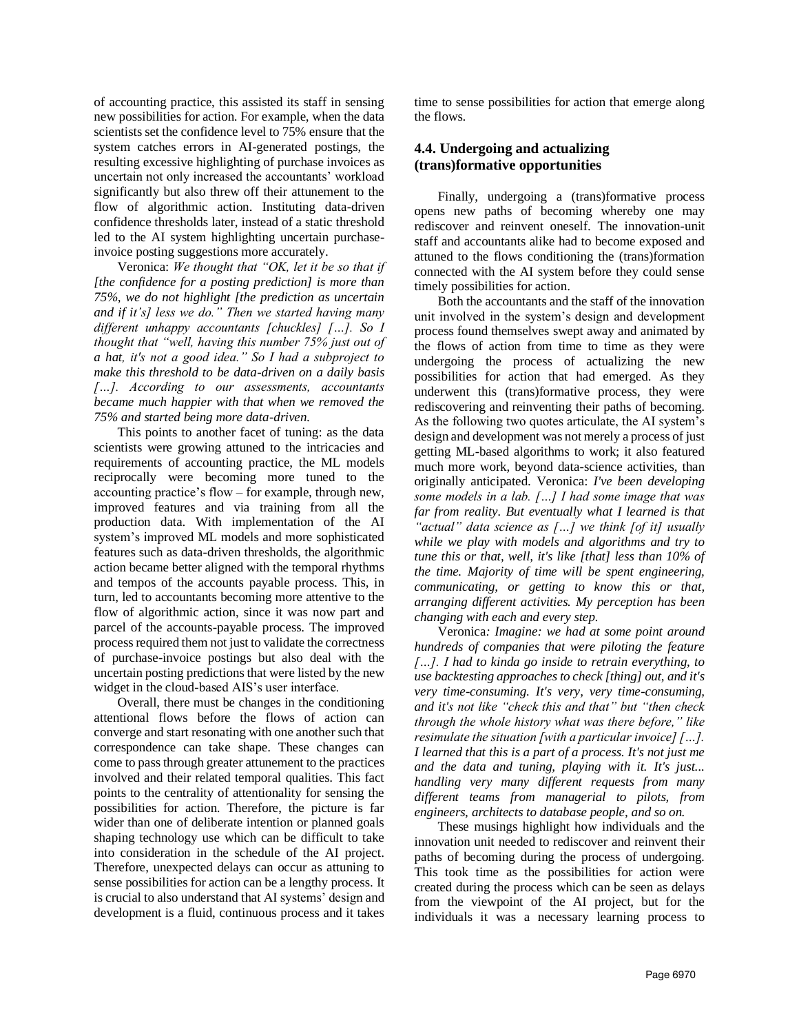of accounting practice, this assisted its staff in sensing new possibilities for action. For example, when the data scientists set the confidence level to 75% ensure that the system catches errors in AI-generated postings, the resulting excessive highlighting of purchase invoices as uncertain not only increased the accountants' workload significantly but also threw off their attunement to the flow of algorithmic action. Instituting data-driven confidence thresholds later, instead of a static threshold led to the AI system highlighting uncertain purchaseinvoice posting suggestions more accurately.

Veronica: *We thought that "OK, let it be so that if [the confidence for a posting prediction] is more than 75%, we do not highlight [the prediction as uncertain and if it's] less we do." Then we started having many different unhappy accountants [chuckles] […]. So I thought that "well, having this number 75% just out of a hat, it's not a good idea." So I had a subproject to make this threshold to be data-driven on a daily basis […]. According to our assessments, accountants became much happier with that when we removed the 75% and started being more data-driven.*

This points to another facet of tuning: as the data scientists were growing attuned to the intricacies and requirements of accounting practice, the ML models reciprocally were becoming more tuned to the accounting practice's flow – for example, through new, improved features and via training from all the production data. With implementation of the AI system's improved ML models and more sophisticated features such as data-driven thresholds, the algorithmic action became better aligned with the temporal rhythms and tempos of the accounts payable process. This, in turn, led to accountants becoming more attentive to the flow of algorithmic action, since it was now part and parcel of the accounts-payable process. The improved process required them not just to validate the correctness of purchase-invoice postings but also deal with the uncertain posting predictions that were listed by the new widget in the cloud-based AIS's user interface.

Overall, there must be changes in the conditioning attentional flows before the flows of action can converge and start resonating with one another such that correspondence can take shape. These changes can come to pass through greater attunement to the practices involved and their related temporal qualities. This fact points to the centrality of attentionality for sensing the possibilities for action. Therefore, the picture is far wider than one of deliberate intention or planned goals shaping technology use which can be difficult to take into consideration in the schedule of the AI project. Therefore, unexpected delays can occur as attuning to sense possibilities for action can be a lengthy process. It is crucial to also understand that AI systems' design and development is a fluid, continuous process and it takes time to sense possibilities for action that emerge along the flows.

## **4.4. Undergoing and actualizing (trans)formative opportunities**

Finally, undergoing a (trans)formative process opens new paths of becoming whereby one may rediscover and reinvent oneself. The innovation-unit staff and accountants alike had to become exposed and attuned to the flows conditioning the (trans)formation connected with the AI system before they could sense timely possibilities for action.

Both the accountants and the staff of the innovation unit involved in the system's design and development process found themselves swept away and animated by the flows of action from time to time as they were undergoing the process of actualizing the new possibilities for action that had emerged. As they underwent this (trans)formative process, they were rediscovering and reinventing their paths of becoming. As the following two quotes articulate, the AI system's design and development was not merely a process of just getting ML-based algorithms to work; it also featured much more work, beyond data-science activities, than originally anticipated. Veronica: *I've been developing some models in a lab. […] I had some image that was far from reality. But eventually what I learned is that "actual" data science as […] we think [of it] usually while we play with models and algorithms and try to tune this or that, well, it's like [that] less than 10% of the time. Majority of time will be spent engineering, communicating, or getting to know this or that, arranging different activities. My perception has been changing with each and every step.*

Veronica*: Imagine: we had at some point around hundreds of companies that were piloting the feature […]. I had to kinda go inside to retrain everything, to use backtesting approaches to check [thing] out, and it's very time-consuming. It's very, very time-consuming, and it's not like "check this and that" but "then check through the whole history what was there before," like resimulate the situation [with a particular invoice] […]. I learned that this is a part of a process. It's not just me and the data and tuning, playing with it. It's just... handling very many different requests from many different teams from managerial to pilots, from engineers, architects to database people, and so on.*

These musings highlight how individuals and the innovation unit needed to rediscover and reinvent their paths of becoming during the process of undergoing. This took time as the possibilities for action were created during the process which can be seen as delays from the viewpoint of the AI project, but for the individuals it was a necessary learning process to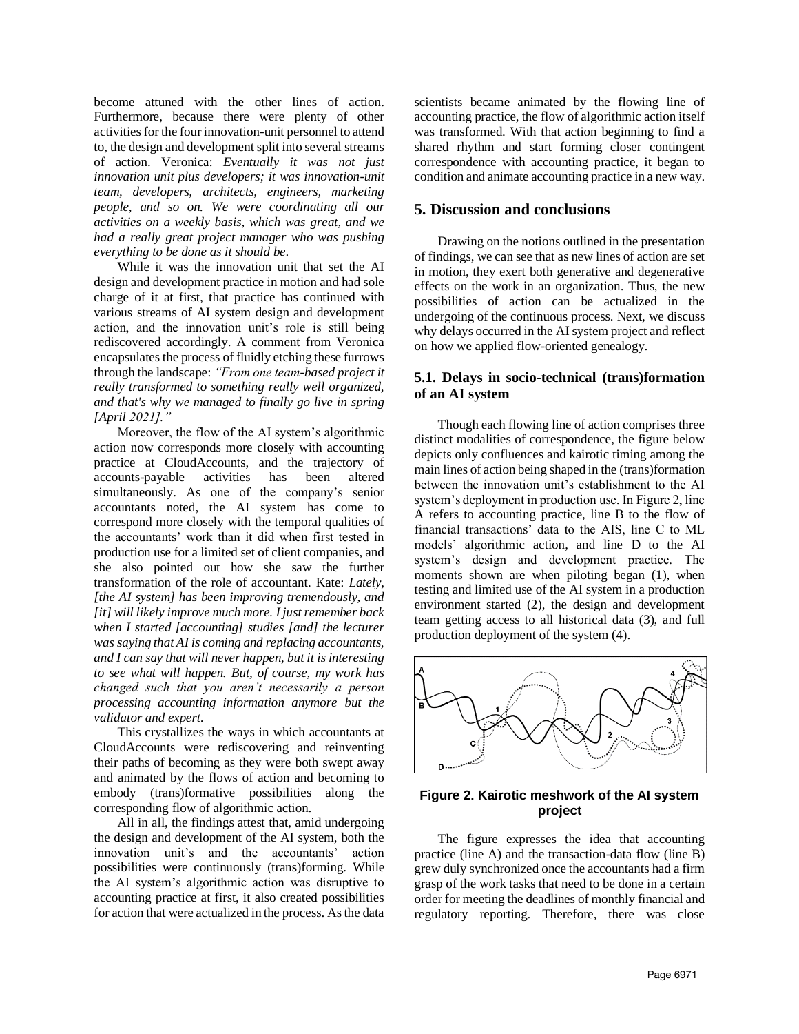become attuned with the other lines of action. Furthermore, because there were plenty of other activities for the four innovation-unit personnel to attend to, the design and development split into several streams of action. Veronica: *Eventually it was not just innovation unit plus developers; it was innovation-unit team, developers, architects, engineers, marketing people, and so on. We were coordinating all our activities on a weekly basis, which was great, and we had a really great project manager who was pushing everything to be done as it should be*.

While it was the innovation unit that set the AI design and development practice in motion and had sole charge of it at first, that practice has continued with various streams of AI system design and development action, and the innovation unit's role is still being rediscovered accordingly. A comment from Veronica encapsulates the process of fluidly etching these furrows through the landscape: *"From one team-based project it really transformed to something really well organized, and that's why we managed to finally go live in spring [April 2021]."*

Moreover, the flow of the AI system's algorithmic action now corresponds more closely with accounting practice at CloudAccounts, and the trajectory of accounts-payable activities has been altered simultaneously. As one of the company's senior accountants noted, the AI system has come to correspond more closely with the temporal qualities of the accountants' work than it did when first tested in production use for a limited set of client companies, and she also pointed out how she saw the further transformation of the role of accountant. Kate: *Lately, [the AI system] has been improving tremendously, and [it] will likely improve much more. I just remember back when I started [accounting] studies [and] the lecturer was saying that AI is coming and replacing accountants, and I can say that will never happen, but it is interesting to see what will happen. But, of course, my work has changed such that you aren't necessarily a person processing accounting information anymore but the validator and expert.*

This crystallizes the ways in which accountants at CloudAccounts were rediscovering and reinventing their paths of becoming as they were both swept away and animated by the flows of action and becoming to embody (trans)formative possibilities along the corresponding flow of algorithmic action.

All in all, the findings attest that, amid undergoing the design and development of the AI system, both the innovation unit's and the accountants' action possibilities were continuously (trans)forming. While the AI system's algorithmic action was disruptive to accounting practice at first, it also created possibilities for action that were actualized in the process. As the data scientists became animated by the flowing line of accounting practice, the flow of algorithmic action itself was transformed. With that action beginning to find a shared rhythm and start forming closer contingent correspondence with accounting practice, it began to condition and animate accounting practice in a new way.

#### **5. Discussion and conclusions**

Drawing on the notions outlined in the presentation of findings, we can see that as new lines of action are set in motion, they exert both generative and degenerative effects on the work in an organization. Thus, the new possibilities of action can be actualized in the undergoing of the continuous process. Next, we discuss why delays occurred in the AI system project and reflect on how we applied flow-oriented genealogy.

### **5.1. Delays in socio-technical (trans)formation of an AI system**

Though each flowing line of action comprises three distinct modalities of correspondence, the figure below depicts only confluences and kairotic timing among the main lines of action being shaped in the (trans)formation between the innovation unit's establishment to the AI system's deployment in production use. In Figure 2, line A refers to accounting practice, line B to the flow of financial transactions' data to the AIS, line C to ML models' algorithmic action, and line D to the AI system's design and development practice. The moments shown are when piloting began (1), when testing and limited use of the AI system in a production environment started (2), the design and development team getting access to all historical data (3), and full production deployment of the system (4).



## **Figure 2. Kairotic meshwork of the AI system project**

The figure expresses the idea that accounting practice (line A) and the transaction-data flow (line B) grew duly synchronized once the accountants had a firm grasp of the work tasks that need to be done in a certain order for meeting the deadlines of monthly financial and regulatory reporting. Therefore, there was close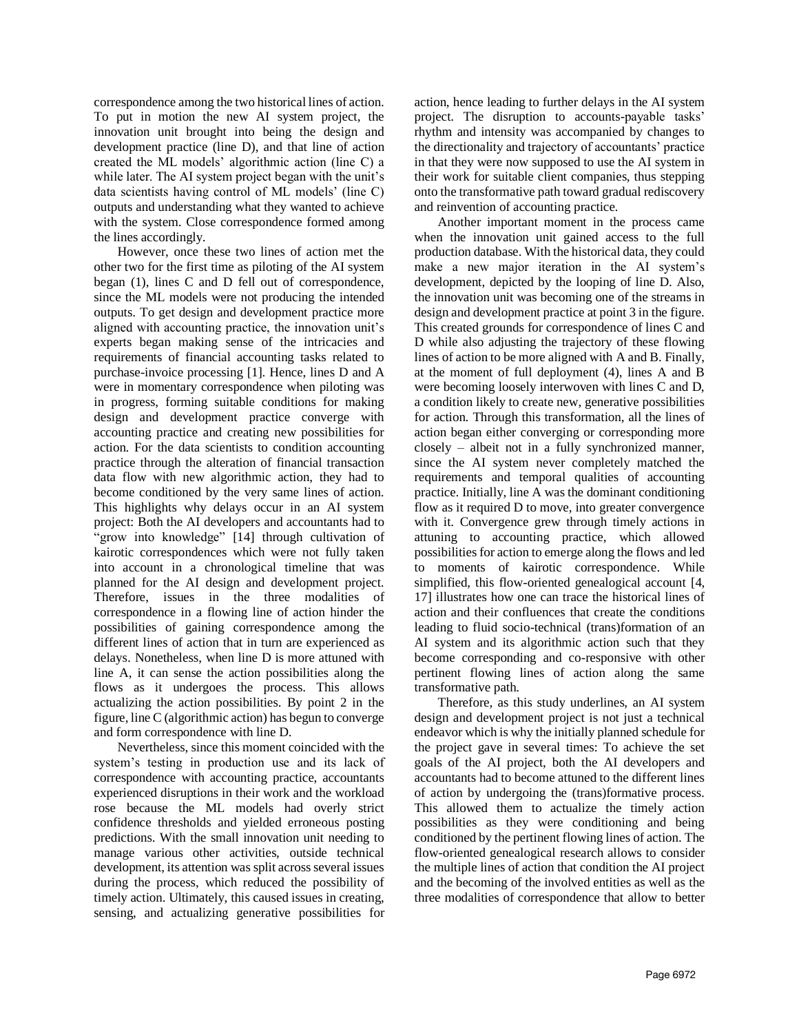correspondence among the two historical lines of action. To put in motion the new AI system project, the innovation unit brought into being the design and development practice (line D), and that line of action created the ML models' algorithmic action (line C) a while later. The AI system project began with the unit's data scientists having control of ML models' (line C) outputs and understanding what they wanted to achieve with the system. Close correspondence formed among the lines accordingly.

However, once these two lines of action met the other two for the first time as piloting of the AI system began (1), lines C and D fell out of correspondence, since the ML models were not producing the intended outputs. To get design and development practice more aligned with accounting practice, the innovation unit's experts began making sense of the intricacies and requirements of financial accounting tasks related to purchase-invoice processing [1]. Hence, lines D and A were in momentary correspondence when piloting was in progress, forming suitable conditions for making design and development practice converge with accounting practice and creating new possibilities for action. For the data scientists to condition accounting practice through the alteration of financial transaction data flow with new algorithmic action, they had to become conditioned by the very same lines of action. This highlights why delays occur in an AI system project: Both the AI developers and accountants had to "grow into knowledge" [14] through cultivation of kairotic correspondences which were not fully taken into account in a chronological timeline that was planned for the AI design and development project. Therefore, issues in the three modalities of correspondence in a flowing line of action hinder the possibilities of gaining correspondence among the different lines of action that in turn are experienced as delays. Nonetheless, when line D is more attuned with line A, it can sense the action possibilities along the flows as it undergoes the process. This allows actualizing the action possibilities. By point 2 in the figure, line C (algorithmic action) has begun to converge and form correspondence with line D.

Nevertheless, since this moment coincided with the system's testing in production use and its lack of correspondence with accounting practice, accountants experienced disruptions in their work and the workload rose because the ML models had overly strict confidence thresholds and yielded erroneous posting predictions. With the small innovation unit needing to manage various other activities, outside technical development, its attention was split across several issues during the process, which reduced the possibility of timely action. Ultimately, this caused issues in creating, sensing, and actualizing generative possibilities for

action, hence leading to further delays in the AI system project. The disruption to accounts-payable tasks' rhythm and intensity was accompanied by changes to the directionality and trajectory of accountants' practice in that they were now supposed to use the AI system in their work for suitable client companies, thus stepping onto the transformative path toward gradual rediscovery and reinvention of accounting practice.

Another important moment in the process came when the innovation unit gained access to the full production database. With the historical data, they could make a new major iteration in the AI system's development, depicted by the looping of line D. Also, the innovation unit was becoming one of the streams in design and development practice at point 3 in the figure. This created grounds for correspondence of lines C and D while also adjusting the trajectory of these flowing lines of action to be more aligned with A and B. Finally, at the moment of full deployment (4), lines A and B were becoming loosely interwoven with lines C and D, a condition likely to create new, generative possibilities for action. Through this transformation, all the lines of action began either converging or corresponding more closely – albeit not in a fully synchronized manner, since the AI system never completely matched the requirements and temporal qualities of accounting practice. Initially, line A was the dominant conditioning flow as it required D to move, into greater convergence with it. Convergence grew through timely actions in attuning to accounting practice, which allowed possibilities for action to emerge along the flows and led to moments of kairotic correspondence. While simplified, this flow-oriented genealogical account [4, 17] illustrates how one can trace the historical lines of action and their confluences that create the conditions leading to fluid socio-technical (trans)formation of an AI system and its algorithmic action such that they become corresponding and co-responsive with other pertinent flowing lines of action along the same transformative path.

Therefore, as this study underlines, an AI system design and development project is not just a technical endeavor which is why the initially planned schedule for the project gave in several times: To achieve the set goals of the AI project, both the AI developers and accountants had to become attuned to the different lines of action by undergoing the (trans)formative process. This allowed them to actualize the timely action possibilities as they were conditioning and being conditioned by the pertinent flowing lines of action. The flow-oriented genealogical research allows to consider the multiple lines of action that condition the AI project and the becoming of the involved entities as well as the three modalities of correspondence that allow to better